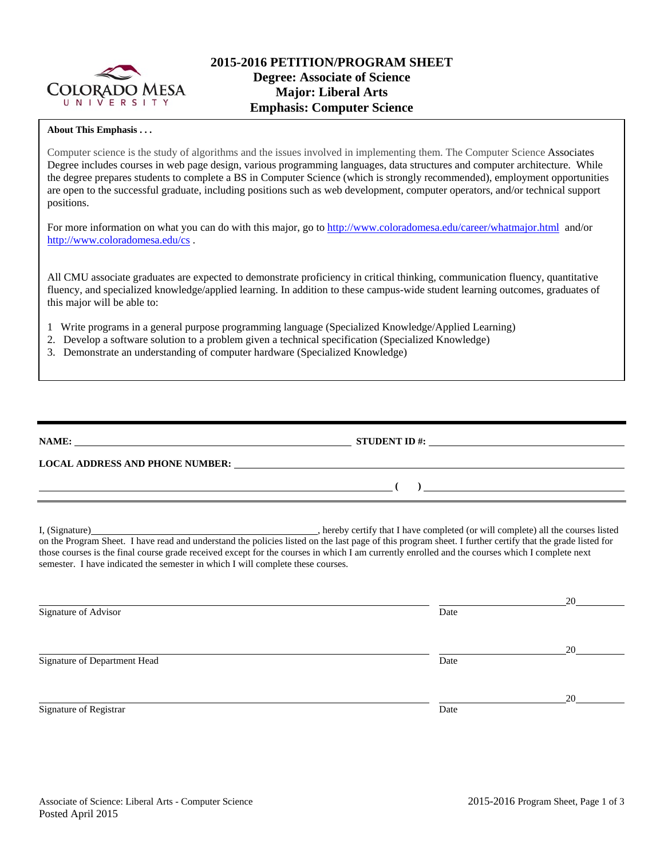

### **About This Emphasis . . .**

Computer science is the study of algorithms and the issues involved in implementing them. The Computer Science Associates Degree includes courses in web page design, various programming languages, data structures and computer architecture. While the degree prepares students to complete a BS in Computer Science (which is strongly recommended), employment opportunities are open to the successful graduate, including positions such as web development, computer operators, and/or technical support positions.

For more information on what you can do with this major, go to http://www.coloradomesa.edu/career/whatmajor.html and/or http://www.coloradomesa.edu/cs .

All CMU associate graduates are expected to demonstrate proficiency in critical thinking, communication fluency, quantitative fluency, and specialized knowledge/applied learning. In addition to these campus-wide student learning outcomes, graduates of this major will be able to:

- 1 Write programs in a general purpose programming language (Specialized Knowledge/Applied Learning)
- 2. Develop a software solution to a problem given a technical specification (Specialized Knowledge)
- 3. Demonstrate an understanding of computer hardware (Specialized Knowledge)

| NAME:                                  | <b>STUDENT ID#:</b> |
|----------------------------------------|---------------------|
| <b>LOCAL ADDRESS AND PHONE NUMBER:</b> |                     |
|                                        |                     |

I, (Signature) **Solution** , hereby certify that I have completed (or will complete) all the courses listed on the Program Sheet. I have read and understand the policies listed on the last page of this program sheet. I further certify that the grade listed for those courses is the final course grade received except for the courses in which I am currently enrolled and the courses which I complete next semester. I have indicated the semester in which I will complete these courses.

|                              |      | 20 |
|------------------------------|------|----|
| Signature of Advisor         | Date |    |
|                              |      | 20 |
| Signature of Department Head | Date |    |
|                              |      | 20 |
| Signature of Registrar       | Date |    |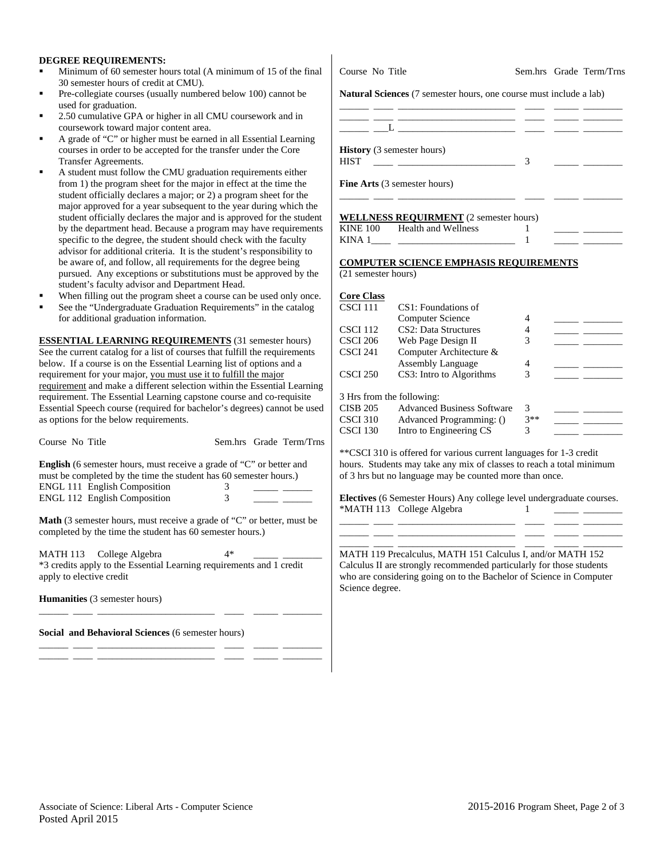### **DEGREE REQUIREMENTS:**

- Minimum of 60 semester hours total (A minimum of 15 of the final 30 semester hours of credit at CMU).
- Pre-collegiate courses (usually numbered below 100) cannot be used for graduation.
- 2.50 cumulative GPA or higher in all CMU coursework and in coursework toward major content area.
- A grade of "C" or higher must be earned in all Essential Learning courses in order to be accepted for the transfer under the Core Transfer Agreements.
- A student must follow the CMU graduation requirements either from 1) the program sheet for the major in effect at the time the student officially declares a major; or 2) a program sheet for the major approved for a year subsequent to the year during which the student officially declares the major and is approved for the student by the department head. Because a program may have requirements specific to the degree, the student should check with the faculty advisor for additional criteria. It is the student's responsibility to be aware of, and follow, all requirements for the degree being pursued. Any exceptions or substitutions must be approved by the student's faculty advisor and Department Head.
- When filling out the program sheet a course can be used only once.
- See the "Undergraduate Graduation Requirements" in the catalog for additional graduation information.

**ESSENTIAL LEARNING REQUIREMENTS** (31 semester hours) See the current catalog for a list of courses that fulfill the requirements below. If a course is on the Essential Learning list of options and a requirement for your major, you must use it to fulfill the major requirement and make a different selection within the Essential Learning requirement. The Essential Learning capstone course and co-requisite Essential Speech course (required for bachelor's degrees) cannot be used as options for the below requirements.

| Course No Title                                                             |  | Sem.hrs Grade Term/Trns |
|-----------------------------------------------------------------------------|--|-------------------------|
| <b>English</b> (6 semester hours, must receive a grade of "C" or better and |  |                         |
| must be completed by the time the student has $60$ semester hours )         |  |                         |

| $\frac{1}{2}$ and $\frac{1}{2}$ and $\frac{1}{2}$ and $\frac{1}{2}$ and $\frac{1}{2}$ and $\frac{1}{2}$ and $\frac{1}{2}$ are $\frac{1}{2}$ and $\frac{1}{2}$ are $\frac{1}{2}$ and $\frac{1}{2}$ are $\frac{1}{2}$ and $\frac{1}{2}$ are $\frac{1}{2}$ and $\frac{1}{2}$ are $\frac{1}{2}$ a |  |
|-----------------------------------------------------------------------------------------------------------------------------------------------------------------------------------------------------------------------------------------------------------------------------------------------|--|
| <b>ENGL 111 English Composition</b>                                                                                                                                                                                                                                                           |  |
| <b>ENGL 112 English Composition</b>                                                                                                                                                                                                                                                           |  |

**Math** (3 semester hours, must receive a grade of "C" or better, must be completed by the time the student has 60 semester hours.)

MATH 113 College Algebra 4\* \*3 credits apply to the Essential Learning requirements and 1 credit apply to elective credit

\_\_\_\_\_\_ \_\_\_\_ \_\_\_\_\_\_\_\_\_\_\_\_\_\_\_\_\_\_\_\_\_\_\_\_ \_\_\_\_ \_\_\_\_\_ \_\_\_\_\_\_\_\_

\_\_\_\_\_\_ \_\_\_\_ \_\_\_\_\_\_\_\_\_\_\_\_\_\_\_\_\_\_\_\_\_\_\_\_ \_\_\_\_ \_\_\_\_\_ \_\_\_\_\_\_\_\_ \_\_\_\_\_\_ \_\_\_\_ \_\_\_\_\_\_\_\_\_\_\_\_\_\_\_\_\_\_\_\_\_\_\_\_ \_\_\_\_ \_\_\_\_\_ \_\_\_\_\_\_\_\_

**Humanities** (3 semester hours)

**Social and Behavioral Sciences** (6 semester hours)

Course No Title Sem.hrs Grade Term/Trns

**Natural Sciences** (7 semester hours, one course must include a lab)

| <b>History</b> (3 semester hours)<br><b>HIST</b> |  |  |
|--------------------------------------------------|--|--|
| <b>Fine Arts</b> (3 semester hours)              |  |  |

### **WELLMESS DEQUIDMENT** (2 semester hours)

|                 | WELLINESS REQUIRIMENT (2 SUINSICI HOURS) |  |  |
|-----------------|------------------------------------------|--|--|
| <b>KINE 100</b> | <b>Health and Wellness</b>               |  |  |
| KINA 1          |                                          |  |  |

\_\_\_\_\_\_ \_\_\_\_ \_\_\_\_\_\_\_\_\_\_\_\_\_\_\_\_\_\_\_\_\_\_\_\_ \_\_\_\_ \_\_\_\_\_ \_\_\_\_\_\_\_\_

#### **COMPUTER SCIENCE EMPHASIS REQUIREMENTS**

(21 semester hours)

| <b>Core Class</b>         |                                   |       |  |
|---------------------------|-----------------------------------|-------|--|
| CSCI 111                  | CS1: Foundations of               |       |  |
|                           | Computer Science                  | 4     |  |
| CSCI 112                  | CS <sub>2</sub> : Data Structures |       |  |
| CSCI 206                  | Web Page Design II                | 3     |  |
| CSCI 241                  | Computer Architecture &           |       |  |
|                           | <b>Assembly Language</b>          | 4     |  |
| CSCI 250                  | CS3: Intro to Algorithms          | 3     |  |
| 3 Hrs from the following: |                                   |       |  |
| CISB 205                  | <b>Advanced Business Software</b> | 3     |  |
| CSCI 310                  | Advanced Programming: ()          | $3**$ |  |
| CSCI 130                  | Intro to Engineering CS           | 3     |  |

\*\*CSCI 310 is offered for various current languages for 1-3 credit hours. Students may take any mix of classes to reach a total minimum of 3 hrs but no language may be counted more than once.

**Electives** (6 Semester Hours) Any college level undergraduate courses. \*MATH 113 College Algebra 1 \_\_\_\_\_\_ \_\_\_\_ \_\_\_\_\_\_\_\_\_\_\_\_\_\_\_\_\_\_\_\_\_\_\_\_ \_\_\_\_ \_\_\_\_\_ \_\_\_\_\_\_\_\_

\_\_\_\_\_\_ \_\_\_\_ \_\_\_\_\_\_\_\_\_\_\_\_\_\_\_\_\_\_\_\_\_\_\_\_ \_\_\_\_ \_\_\_\_\_ \_\_\_\_\_\_\_\_ \_\_\_\_\_\_ \_\_\_\_ \_\_\_\_\_\_\_\_\_\_\_\_\_\_\_\_\_\_\_\_\_\_\_\_ \_\_\_\_ \_\_\_\_\_ \_\_\_\_\_\_\_\_

MATH 119 Precalculus, MATH 151 Calculus I, and/or MATH 152 Calculus II are strongly recommended particularly for those students who are considering going on to the Bachelor of Science in Computer Science degree.